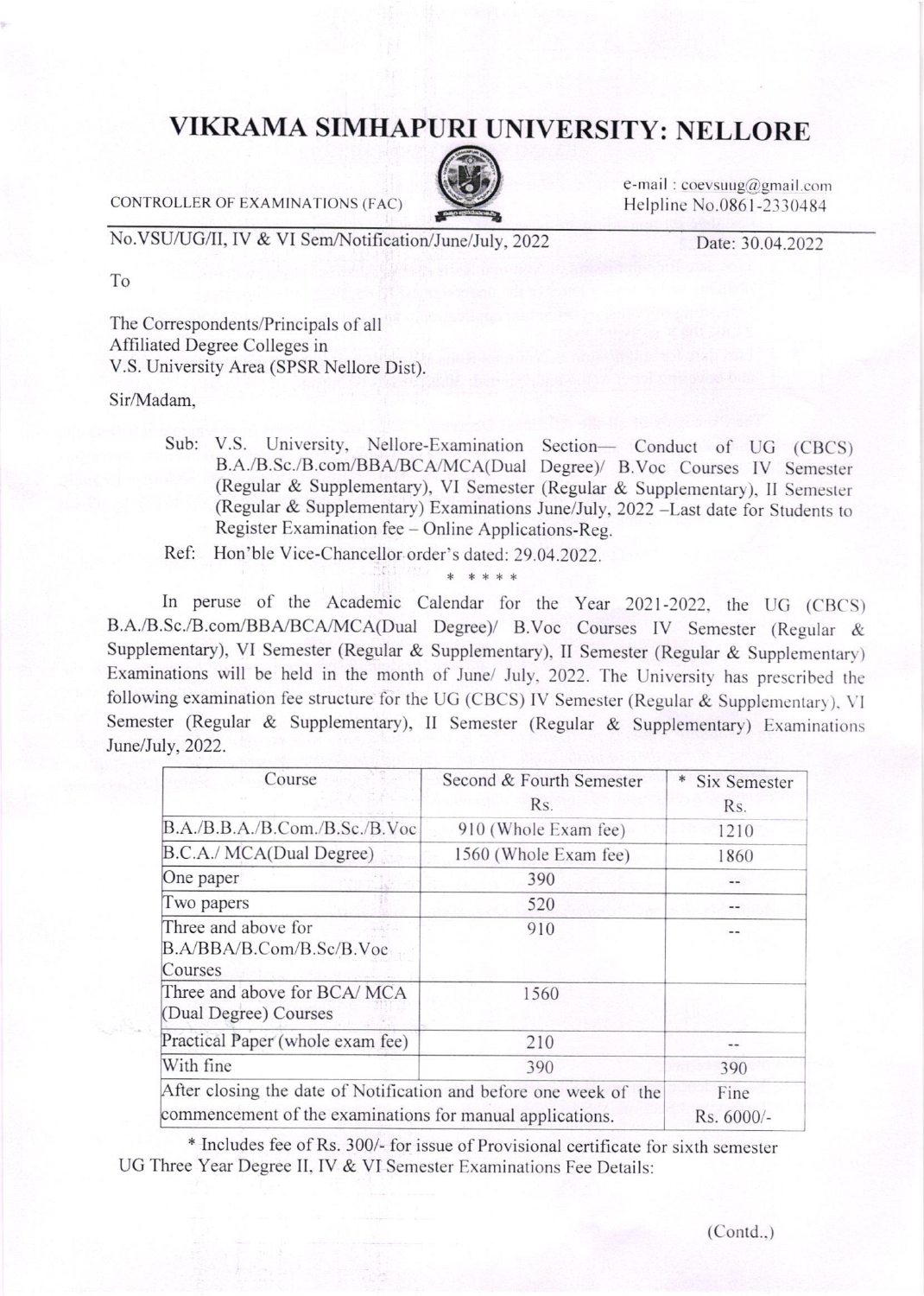## VIKRAMA SIMHAPURI UNIVERSITY: NELLORE

CONTROLLER OF EXAMINATIONS (FAC)



e-mail:  $coevsung@gmail.com$ Helpline No.0861-2330484

No.VSU/UG/II, IV & VI Sem/Notification/June/July, 2022

Date: 30.04.2022

To

The Correspondents/Principals of all Affiliated Degree Colleges in V.S. University Area (SPSR Nellore Dist).

Sir/Madam.

Sub: V.S. University, Nellore-Examination Section- Conduct of UG (CBCS) B.A./B.Sc./B.com/BBA/BCA/MCA(Dual Degree)/ B.Voc Courses IV Semester (Regular & Supplementary), VI Semester (Regular & Supplementary), II Semester (Regular & Supplementary) Examinations June/July, 2022 -Last date for Students to Register Examination fee - Online Applications-Reg.

Ref: Hon'ble Vice-Chancellor order's dated: 29.04.2022.

In peruse of the Academic Calendar for the Year 2021-2022, the UG (CBCS) B.A./B.Sc./B.com/BBA/BCA/MCA(Dual Degree)/ B.Voc Courses IV Semester (Regular & Supplementary), VI Semester (Regular & Supplementary), II Semester (Regular & Supplementary) Examinations will be held in the month of June/ July, 2022. The University has prescribed the following examination fee structure for the UG (CBCS) IV Semester (Regular & Supplementary), VI Semester (Regular & Supplementary), II Semester (Regular & Supplementary) Examinations June/July, 2022.

| Course                                                                                                                         | Second & Fourth Semester<br>Rs. | <b>Six Semester</b><br>Rs. |
|--------------------------------------------------------------------------------------------------------------------------------|---------------------------------|----------------------------|
| B.A./B.B.A./B.Com./B.Sc./B.Voc                                                                                                 | 910 (Whole Exam fee)            | 1210                       |
| B.C.A./ MCA(Dual Degree)                                                                                                       | 1560 (Whole Exam fee)           | 1860                       |
| One paper                                                                                                                      | 390                             | $\qquad \qquad -$          |
| Two papers                                                                                                                     | 520                             |                            |
| Three and above for<br>B.A/BBA/B.Com/B.Sc/B.Voc<br>Courses                                                                     | 910                             |                            |
| Three and above for BCA/ MCA<br>(Dual Degree) Courses                                                                          | 1560                            |                            |
| Practical Paper (whole exam fee)                                                                                               | 210                             | $\qquad \qquad -$          |
| With fine                                                                                                                      | 390                             | 390                        |
| After closing the date of Notification and before one week of the<br>commencement of the examinations for manual applications. |                                 | Fine<br>Rs. 6000/-         |

\* Includes fee of Rs. 300/- for issue of Provisional certificate for sixth semester UG Three Year Degree II, IV & VI Semester Examinations Fee Details: